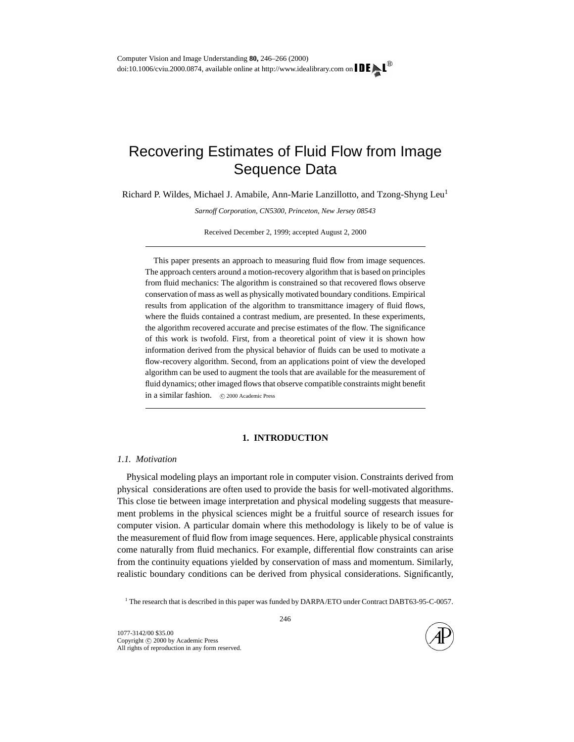# Recovering Estimates of Fluid Flow from Image Sequence Data

Richard P. Wildes, Michael J. Amabile, Ann-Marie Lanzillotto, and Tzong-Shyng Leu<sup>1</sup>

*Sarnoff Corporation, CN5300, Princeton, New Jersey 08543*

Received December 2, 1999; accepted August 2, 2000

This paper presents an approach to measuring fluid flow from image sequences. The approach centers around a motion-recovery algorithm that is based on principles from fluid mechanics: The algorithm is constrained so that recovered flows observe conservation of mass as well as physically motivated boundary conditions. Empirical results from application of the algorithm to transmittance imagery of fluid flows, where the fluids contained a contrast medium, are presented. In these experiments, the algorithm recovered accurate and precise estimates of the flow. The significance of this work is twofold. First, from a theoretical point of view it is shown how information derived from the physical behavior of fluids can be used to motivate a flow-recovery algorithm. Second, from an applications point of view the developed algorithm can be used to augment the tools that are available for the measurement of fluid dynamics; other imaged flows that observe compatible constraints might benefit in a similar fashion.  $\circ$  2000 Academic Press

# **1. INTRODUCTION**

# *1.1. Motivation*

Physical modeling plays an important role in computer vision. Constraints derived from physical considerations are often used to provide the basis for well-motivated algorithms. This close tie between image interpretation and physical modeling suggests that measurement problems in the physical sciences might be a fruitful source of research issues for computer vision. A particular domain where this methodology is likely to be of value is the measurement of fluid flow from image sequences. Here, applicable physical constraints come naturally from fluid mechanics. For example, differential flow constraints can arise from the continuity equations yielded by conservation of mass and momentum. Similarly, realistic boundary conditions can be derived from physical considerations. Significantly,

<sup>1</sup> The research that is described in this paper was funded by DARPA/ETO under Contract DABT63-95-C-0057.

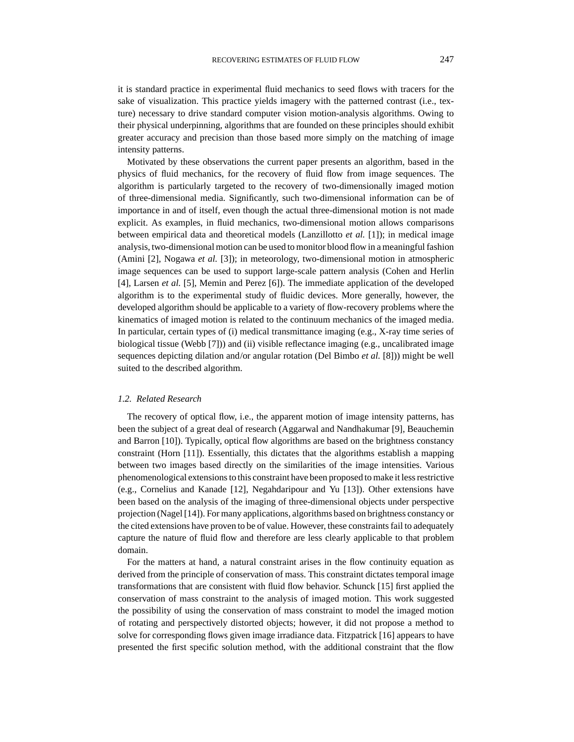it is standard practice in experimental fluid mechanics to seed flows with tracers for the sake of visualization. This practice yields imagery with the patterned contrast (i.e., texture) necessary to drive standard computer vision motion-analysis algorithms. Owing to their physical underpinning, algorithms that are founded on these principles should exhibit greater accuracy and precision than those based more simply on the matching of image intensity patterns.

Motivated by these observations the current paper presents an algorithm, based in the physics of fluid mechanics, for the recovery of fluid flow from image sequences. The algorithm is particularly targeted to the recovery of two-dimensionally imaged motion of three-dimensional media. Significantly, such two-dimensional information can be of importance in and of itself, even though the actual three-dimensional motion is not made explicit. As examples, in fluid mechanics, two-dimensional motion allows comparisons between empirical data and theoretical models (Lanzillotto *et al.* [1]); in medical image analysis, two-dimensional motion can be used to monitor blood flow in a meaningful fashion (Amini [2], Nogawa *et al.* [3]); in meteorology, two-dimensional motion in atmospheric image sequences can be used to support large-scale pattern analysis (Cohen and Herlin [4], Larsen *et al.* [5], Memin and Perez [6]). The immediate application of the developed algorithm is to the experimental study of fluidic devices. More generally, however, the developed algorithm should be applicable to a variety of flow-recovery problems where the kinematics of imaged motion is related to the continuum mechanics of the imaged media. In particular, certain types of (i) medical transmittance imaging (e.g., X-ray time series of biological tissue (Webb [7])) and (ii) visible reflectance imaging (e.g., uncalibrated image sequences depicting dilation and/or angular rotation (Del Bimbo *et al.* [8])) might be well suited to the described algorithm.

#### *1.2. Related Research*

The recovery of optical flow, i.e., the apparent motion of image intensity patterns, has been the subject of a great deal of research (Aggarwal and Nandhakumar [9], Beauchemin and Barron [10]). Typically, optical flow algorithms are based on the brightness constancy constraint (Horn [11]). Essentially, this dictates that the algorithms establish a mapping between two images based directly on the similarities of the image intensities. Various phenomenological extensions to this constraint have been proposed to make it less restrictive (e.g., Cornelius and Kanade [12], Negahdaripour and Yu [13]). Other extensions have been based on the analysis of the imaging of three-dimensional objects under perspective projection (Nagel [14]). For many applications, algorithms based on brightness constancy or the cited extensions have proven to be of value. However, these constraints fail to adequately capture the nature of fluid flow and therefore are less clearly applicable to that problem domain.

For the matters at hand, a natural constraint arises in the flow continuity equation as derived from the principle of conservation of mass. This constraint dictates temporal image transformations that are consistent with fluid flow behavior. Schunck [15] first applied the conservation of mass constraint to the analysis of imaged motion. This work suggested the possibility of using the conservation of mass constraint to model the imaged motion of rotating and perspectively distorted objects; however, it did not propose a method to solve for corresponding flows given image irradiance data. Fitzpatrick [16] appears to have presented the first specific solution method, with the additional constraint that the flow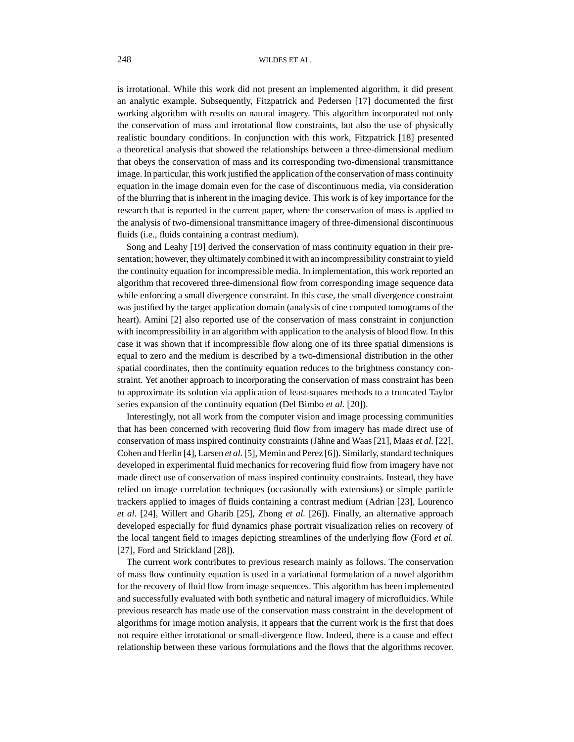is irrotational. While this work did not present an implemented algorithm, it did present an analytic example. Subsequently, Fitzpatrick and Pedersen [17] documented the first working algorithm with results on natural imagery. This algorithm incorporated not only the conservation of mass and irrotational flow constraints, but also the use of physically realistic boundary conditions. In conjunction with this work, Fitzpatrick [18] presented a theoretical analysis that showed the relationships between a three-dimensional medium that obeys the conservation of mass and its corresponding two-dimensional transmittance image. In particular, this work justified the application of the conservation of mass continuity equation in the image domain even for the case of discontinuous media, via consideration of the blurring that is inherent in the imaging device. This work is of key importance for the research that is reported in the current paper, where the conservation of mass is applied to the analysis of two-dimensional transmittance imagery of three-dimensional discontinuous fluids (i.e., fluids containing a contrast medium).

Song and Leahy [19] derived the conservation of mass continuity equation in their presentation; however, they ultimately combined it with an incompressibility constraint to yield the continuity equation for incompressible media. In implementation, this work reported an algorithm that recovered three-dimensional flow from corresponding image sequence data while enforcing a small divergence constraint. In this case, the small divergence constraint was justified by the target application domain (analysis of cine computed tomograms of the heart). Amini [2] also reported use of the conservation of mass constraint in conjunction with incompressibility in an algorithm with application to the analysis of blood flow. In this case it was shown that if incompressible flow along one of its three spatial dimensions is equal to zero and the medium is described by a two-dimensional distribution in the other spatial coordinates, then the continuity equation reduces to the brightness constancy constraint. Yet another approach to incorporating the conservation of mass constraint has been to approximate its solution via application of least-squares methods to a truncated Taylor series expansion of the continuity equation (Del Bimbo *et al.* [20]).

Interestingly, not all work from the computer vision and image processing communities that has been concerned with recovering fluid flow from imagery has made direct use of conservation of mass inspired continuity constraints (Jähne and Waas [21], Maas *et al.* [22], Cohen and Herlin [4], Larsen *et al.*[5], Memin and Perez [6]). Similarly, standard techniques developed in experimental fluid mechanics for recovering fluid flow from imagery have not made direct use of conservation of mass inspired continuity constraints. Instead, they have relied on image correlation techniques (occasionally with extensions) or simple particle trackers applied to images of fluids containing a contrast medium (Adrian [23], Lourenco *et al.* [24], Willert and Gharib [25], Zhong *et al.* [26]). Finally, an alternative approach developed especially for fluid dynamics phase portrait visualization relies on recovery of the local tangent field to images depicting streamlines of the underlying flow (Ford *et al.* [27], Ford and Strickland [28]).

The current work contributes to previous research mainly as follows. The conservation of mass flow continuity equation is used in a variational formulation of a novel algorithm for the recovery of fluid flow from image sequences. This algorithm has been implemented and successfully evaluated with both synthetic and natural imagery of microfluidics. While previous research has made use of the conservation mass constraint in the development of algorithms for image motion analysis, it appears that the current work is the first that does not require either irrotational or small-divergence flow. Indeed, there is a cause and effect relationship between these various formulations and the flows that the algorithms recover.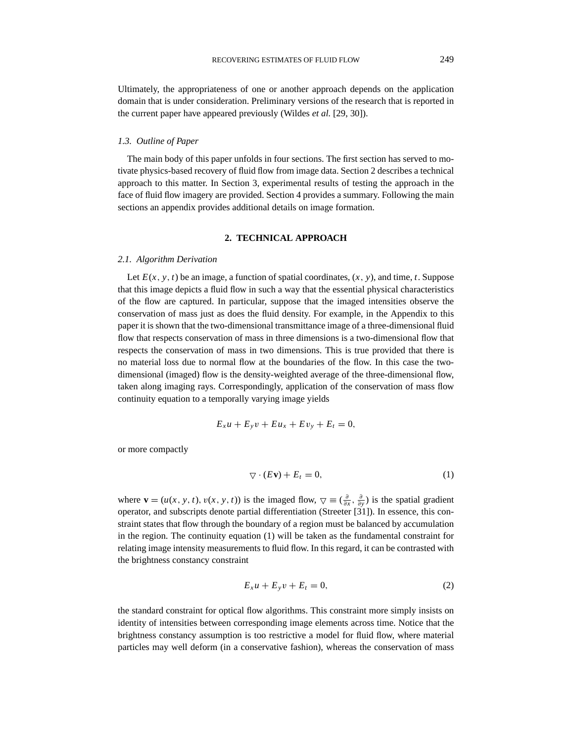Ultimately, the appropriateness of one or another approach depends on the application domain that is under consideration. Preliminary versions of the research that is reported in the current paper have appeared previously (Wildes *et al.* [29, 30]).

#### *1.3. Outline of Paper*

The main body of this paper unfolds in four sections. The first section has served to motivate physics-based recovery of fluid flow from image data. Section 2 describes a technical approach to this matter. In Section 3, experimental results of testing the approach in the face of fluid flow imagery are provided. Section 4 provides a summary. Following the main sections an appendix provides additional details on image formation.

### **2. TECHNICAL APPROACH**

# *2.1. Algorithm Derivation*

Let  $E(x, y, t)$  be an image, a function of spatial coordinates,  $(x, y)$ , and time, *t*. Suppose that this image depicts a fluid flow in such a way that the essential physical characteristics of the flow are captured. In particular, suppose that the imaged intensities observe the conservation of mass just as does the fluid density. For example, in the Appendix to this paper it is shown that the two-dimensional transmittance image of a three-dimensional fluid flow that respects conservation of mass in three dimensions is a two-dimensional flow that respects the conservation of mass in two dimensions. This is true provided that there is no material loss due to normal flow at the boundaries of the flow. In this case the twodimensional (imaged) flow is the density-weighted average of the three-dimensional flow, taken along imaging rays. Correspondingly, application of the conservation of mass flow continuity equation to a temporally varying image yields

$$
E_x u + E_y v + E u_x + E v_y + E_t = 0,
$$

or more compactly

$$
\nabla \cdot (E\mathbf{v}) + E_t = 0,\tag{1}
$$

where  $\mathbf{v} = (u(x, y, t), v(x, y, t))$  is the imaged flow,  $\nabla \equiv (\frac{\partial}{\partial x}, \frac{\partial}{\partial y})$  is the spatial gradient operator, and subscripts denote partial differentiation (Streeter [31]). In essence, this constraint states that flow through the boundary of a region must be balanced by accumulation in the region. The continuity equation (1) will be taken as the fundamental constraint for relating image intensity measurements to fluid flow. In this regard, it can be contrasted with the brightness constancy constraint

$$
E_x u + E_y v + E_t = 0,
$$
\n<sup>(2)</sup>

the standard constraint for optical flow algorithms. This constraint more simply insists on identity of intensities between corresponding image elements across time. Notice that the brightness constancy assumption is too restrictive a model for fluid flow, where material particles may well deform (in a conservative fashion), whereas the conservation of mass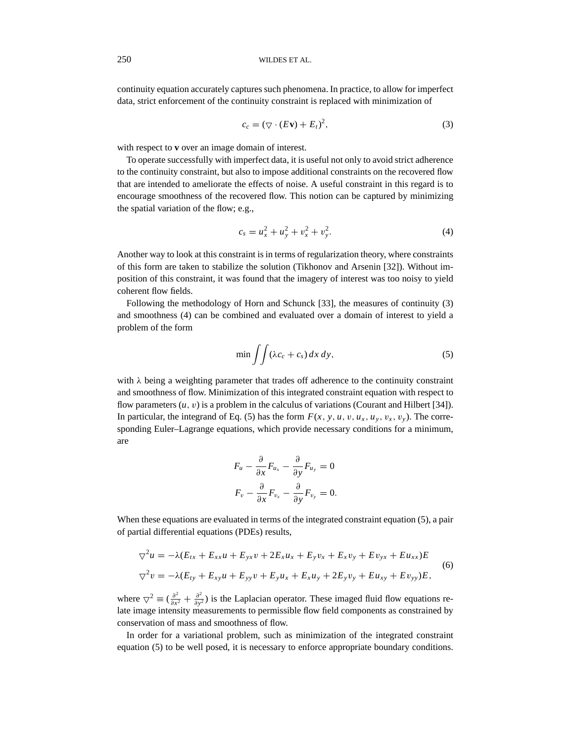continuity equation accurately captures such phenomena. In practice, to allow for imperfect data, strict enforcement of the continuity constraint is replaced with minimization of

$$
c_c = (\nabla \cdot (E\mathbf{v}) + E_t)^2,\tag{3}
$$

with respect to **v** over an image domain of interest.

To operate successfully with imperfect data, it is useful not only to avoid strict adherence to the continuity constraint, but also to impose additional constraints on the recovered flow that are intended to ameliorate the effects of noise. A useful constraint in this regard is to encourage smoothness of the recovered flow. This notion can be captured by minimizing the spatial variation of the flow; e.g.,

$$
c_s = u_x^2 + u_y^2 + v_x^2 + v_y^2. \tag{4}
$$

Another way to look at this constraint is in terms of regularization theory, where constraints of this form are taken to stabilize the solution (Tikhonov and Arsenin [32]). Without imposition of this constraint, it was found that the imagery of interest was too noisy to yield coherent flow fields.

Following the methodology of Horn and Schunck [33], the measures of continuity (3) and smoothness (4) can be combined and evaluated over a domain of interest to yield a problem of the form

$$
\min \int \int (\lambda c_c + c_s) \, dx \, dy,\tag{5}
$$

with  $\lambda$  being a weighting parameter that trades off adherence to the continuity constraint and smoothness of flow. Minimization of this integrated constraint equation with respect to flow parameters  $(u, v)$  is a problem in the calculus of variations (Courant and Hilbert [34]). In particular, the integrand of Eq. (5) has the form  $F(x, y, u, v, u_x, u_y, v_x, v_y)$ . The corresponding Euler–Lagrange equations, which provide necessary conditions for a minimum, are

$$
F_u - \frac{\partial}{\partial x} F_{u_x} - \frac{\partial}{\partial y} F_{u_y} = 0
$$
  

$$
F_v - \frac{\partial}{\partial x} F_{v_x} - \frac{\partial}{\partial y} F_{v_y} = 0.
$$

When these equations are evaluated in terms of the integrated constraint equation (5), a pair of partial differential equations (PDEs) results,

$$
\nabla^2 u = -\lambda (E_{tx} + E_{xx}u + E_{yx}v + 2E_xu_x + E_yv_x + E_xv_y + Ev_{yx} + Eu_{xx})E
$$
  

$$
\nabla^2 v = -\lambda (E_{ty} + E_{xy}u + E_{yy}v + E_yu_x + E_xu_y + 2E_yv_y + Eu_{xy} + Ev_{yy})E,
$$
 (6)

where  $\overline{\vee}^2 \equiv (\frac{\partial^2}{\partial x^2} + \frac{\partial^2}{\partial y^2})$  is the Laplacian operator. These imaged fluid flow equations relate image intensity measurements to permissible flow field components as constrained by conservation of mass and smoothness of flow.

In order for a variational problem, such as minimization of the integrated constraint equation (5) to be well posed, it is necessary to enforce appropriate boundary conditions.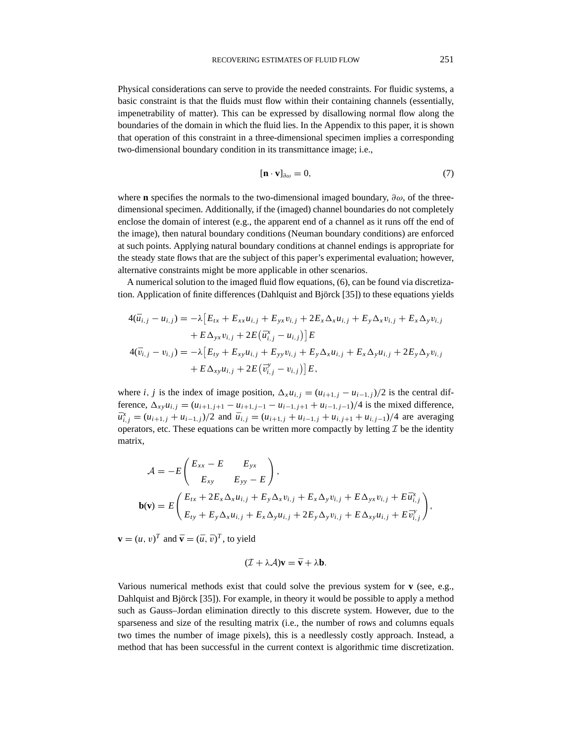Physical considerations can serve to provide the needed constraints. For fluidic systems, a basic constraint is that the fluids must flow within their containing channels (essentially, impenetrability of matter). This can be expressed by disallowing normal flow along the boundaries of the domain in which the fluid lies. In the Appendix to this paper, it is shown that operation of this constraint in a three-dimensional specimen implies a corresponding two-dimensional boundary condition in its transmittance image; i.e.,

$$
[\mathbf{n} \cdot \mathbf{v}]_{\partial \omega} = 0,\tag{7}
$$

where **n** specifies the normals to the two-dimensional imaged boundary,  $\partial \omega$ , of the threedimensional specimen. Additionally, if the (imaged) channel boundaries do not completely enclose the domain of interest (e.g., the apparent end of a channel as it runs off the end of the image), then natural boundary conditions (Neuman boundary conditions) are enforced at such points. Applying natural boundary conditions at channel endings is appropriate for the steady state flows that are the subject of this paper's experimental evaluation; however, alternative constraints might be more applicable in other scenarios.

A numerical solution to the imaged fluid flow equations, (6), can be found via discretization. Application of finite differences (Dahlquist and Björck [35]) to these equations yields

$$
4(\bar{u}_{i,j} - u_{i,j}) = -\lambda \left[ E_{tx} + E_{xx} u_{i,j} + E_{yx} v_{i,j} + 2E_x \Delta_x u_{i,j} + E_y \Delta_x v_{i,j} + E_x \Delta_y v_{i,j} + E \Delta_{yx} v_{i,j} + 2E (\bar{u}_{i,j}^x - u_{i,j}) \right] E
$$
  
\n
$$
4(\bar{v}_{i,j} - v_{i,j}) = -\lambda \left[ E_{ty} + E_{xy} u_{i,j} + E_{yy} v_{i,j} + E_y \Delta_x u_{i,j} + E_x \Delta_y u_{i,j} + 2E_y \Delta_y v_{i,j} + E \Delta_{xy} u_{i,j} + 2E (\bar{v}_{i,j}^y - v_{i,j}) \right] E,
$$

where *i*, *j* is the index of image position,  $\Delta_x u_{i,j} = (u_{i+1,j} - u_{i-1,j})/2$  is the central difference,  $\Delta_{xy}u_{i,j} = (u_{i+1,j+1} - u_{i+1,j-1} - u_{i-1,j+1} + u_{i-1,j-1})/4$  is the mixed difference,  $\bar{u}_{i,j}^x = (u_{i+1,j} + u_{i-1,j})/2$  and  $\bar{u}_{i,j} = (u_{i+1,j} + u_{i-1,j} + u_{i,j+1} + u_{i,j-1})/4$  are averaging operators, etc. These equations can be written more compactly by letting  $\mathcal I$  be the identity matrix,

$$
A = -E\begin{pmatrix} E_{xx} - E & E_{yx} \\ E_{xy} & E_{yy} - E \end{pmatrix},
$$
\n
$$
\mathbf{b}(\mathbf{v}) = E\begin{pmatrix} E_{tx} + 2E_x \Delta_x u_{i,j} + E_y \Delta_x v_{i,j} + E_x \Delta_y v_{i,j} + E \Delta_{yx} v_{i,j} + E \bar{u}_{i,j}^x \\ E_{ty} + E_y \Delta_x u_{i,j} + E_x \Delta_y u_{i,j} + 2E_y \Delta_y v_{i,j} + E \Delta_{xy} u_{i,j} + E \bar{v}_{i,j}^y \end{pmatrix},
$$

 $\mathbf{v} = (u, v)^T$  and  $\bar{\mathbf{v}} = (\bar{u}, \bar{v})^T$ , to yield

$$
(\mathcal{I} + \lambda \mathcal{A})\mathbf{v} = \bar{\mathbf{v}} + \lambda \mathbf{b}.
$$

Various numerical methods exist that could solve the previous system for **v** (see, e.g., Dahlquist and Björck  $[35]$ ). For example, in theory it would be possible to apply a method such as Gauss–Jordan elimination directly to this discrete system. However, due to the sparseness and size of the resulting matrix (i.e., the number of rows and columns equals two times the number of image pixels), this is a needlessly costly approach. Instead, a method that has been successful in the current context is algorithmic time discretization.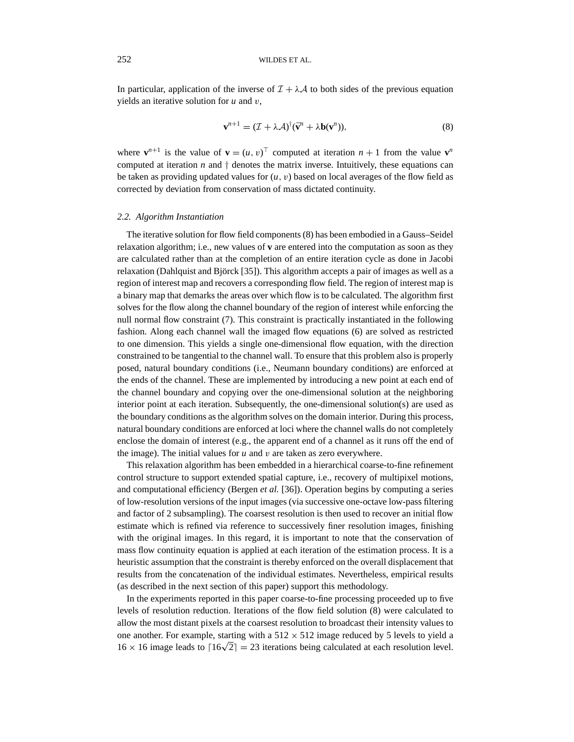In particular, application of the inverse of  $\mathcal{I} + \lambda \mathcal{A}$  to both sides of the previous equation yields an iterative solution for *u* and v,

$$
\mathbf{v}^{n+1} = (\mathcal{I} + \lambda \mathcal{A})^{\dagger} (\bar{\mathbf{v}}^n + \lambda \mathbf{b}(\mathbf{v}^n)),
$$
\n(8)

where  $\mathbf{v}^{n+1}$  is the value of  $\mathbf{v} = (u, v)^\top$  computed at iteration  $n + 1$  from the value  $\mathbf{v}^n$ computed at iteration  $n$  and  $\dagger$  denotes the matrix inverse. Intuitively, these equations can be taken as providing updated values for  $(u, v)$  based on local averages of the flow field as corrected by deviation from conservation of mass dictated continuity.

#### *2.2. Algorithm Instantiation*

The iterative solution for flow field components (8) has been embodied in a Gauss–Seidel relaxation algorithm; i.e., new values of **v** are entered into the computation as soon as they are calculated rather than at the completion of an entire iteration cycle as done in Jacobi relaxation (Dahlquist and Björck [35]). This algorithm accepts a pair of images as well as a region of interest map and recovers a corresponding flow field. The region of interest map is a binary map that demarks the areas over which flow is to be calculated. The algorithm first solves for the flow along the channel boundary of the region of interest while enforcing the null normal flow constraint (7). This constraint is practically instantiated in the following fashion. Along each channel wall the imaged flow equations (6) are solved as restricted to one dimension. This yields a single one-dimensional flow equation, with the direction constrained to be tangential to the channel wall. To ensure that this problem also is properly posed, natural boundary conditions (i.e., Neumann boundary conditions) are enforced at the ends of the channel. These are implemented by introducing a new point at each end of the channel boundary and copying over the one-dimensional solution at the neighboring interior point at each iteration. Subsequently, the one-dimensional solution(s) are used as the boundary conditions as the algorithm solves on the domain interior. During this process, natural boundary conditions are enforced at loci where the channel walls do not completely enclose the domain of interest (e.g., the apparent end of a channel as it runs off the end of the image). The initial values for  $u$  and  $v$  are taken as zero everywhere.

This relaxation algorithm has been embedded in a hierarchical coarse-to-fine refinement control structure to support extended spatial capture, i.e., recovery of multipixel motions, and computational efficiency (Bergen *et al.* [36]). Operation begins by computing a series of low-resolution versions of the input images (via successive one-octave low-pass filtering and factor of 2 subsampling). The coarsest resolution is then used to recover an initial flow estimate which is refined via reference to successively finer resolution images, finishing with the original images. In this regard, it is important to note that the conservation of mass flow continuity equation is applied at each iteration of the estimation process. It is a heuristic assumption that the constraint is thereby enforced on the overall displacement that results from the concatenation of the individual estimates. Nevertheless, empirical results (as described in the next section of this paper) support this methodology.

In the experiments reported in this paper coarse-to-fine processing proceeded up to five levels of resolution reduction. Iterations of the flow field solution (8) were calculated to allow the most distant pixels at the coarsest resolution to broadcast their intensity values to one another. For example, starting with a  $512 \times 512$  image reduced by 5 levels to yield a  $16 \times 16$  image leads to  $\lceil 16\sqrt{2} \rceil = 23$  iterations being calculated at each resolution level.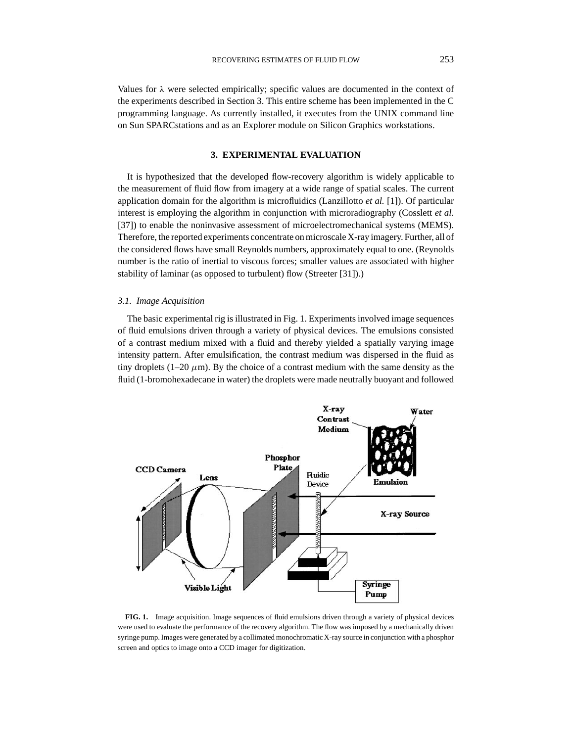Values for  $\lambda$  were selected empirically; specific values are documented in the context of the experiments described in Section 3. This entire scheme has been implemented in the C programming language. As currently installed, it executes from the UNIX command line on Sun SPARCstations and as an Explorer module on Silicon Graphics workstations.

### **3. EXPERIMENTAL EVALUATION**

It is hypothesized that the developed flow-recovery algorithm is widely applicable to the measurement of fluid flow from imagery at a wide range of spatial scales. The current application domain for the algorithm is microfluidics (Lanzillotto *et al.* [1]). Of particular interest is employing the algorithm in conjunction with microradiography (Cosslett *et al.* [37]) to enable the noninvasive assessment of microelectromechanical systems (MEMS). Therefore, the reported experiments concentrate on microscale X-ray imagery. Further, all of the considered flows have small Reynolds numbers, approximately equal to one. (Reynolds number is the ratio of inertial to viscous forces; smaller values are associated with higher stability of laminar (as opposed to turbulent) flow (Streeter [31]).)

#### *3.1. Image Acquisition*

The basic experimental rig is illustrated in Fig. 1. Experiments involved image sequences of fluid emulsions driven through a variety of physical devices. The emulsions consisted of a contrast medium mixed with a fluid and thereby yielded a spatially varying image intensity pattern. After emulsification, the contrast medium was dispersed in the fluid as tiny droplets (1–20  $\mu$ m). By the choice of a contrast medium with the same density as the fluid (1-bromohexadecane in water) the droplets were made neutrally buoyant and followed



**FIG. 1.** Image acquisition. Image sequences of fluid emulsions driven through a variety of physical devices were used to evaluate the performance of the recovery algorithm. The flow was imposed by a mechanically driven syringe pump. Images were generated by a collimated monochromatic X-ray source in conjunction with a phosphor screen and optics to image onto a CCD imager for digitization.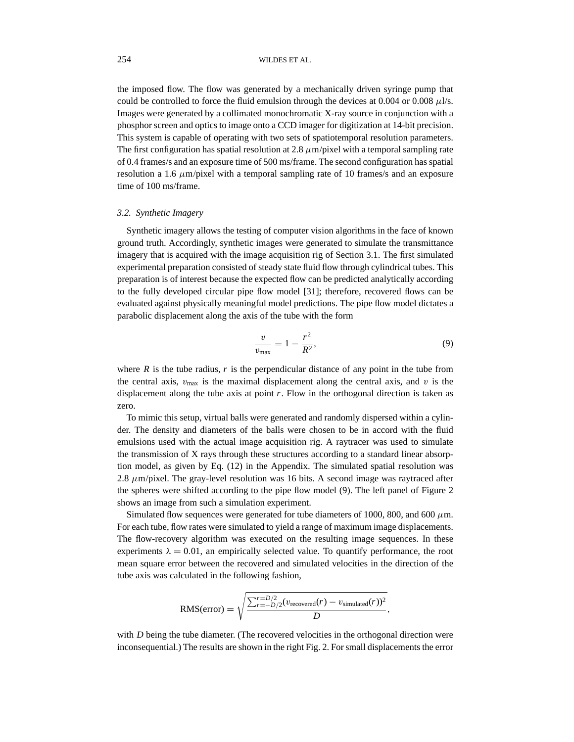the imposed flow. The flow was generated by a mechanically driven syringe pump that could be controlled to force the fluid emulsion through the devices at 0.004 or 0.008  $\mu$ I/s. Images were generated by a collimated monochromatic X-ray source in conjunction with a phosphor screen and optics to image onto a CCD imager for digitization at 14-bit precision. This system is capable of operating with two sets of spatiotemporal resolution parameters. The first configuration has spatial resolution at 2.8  $\mu$ m/pixel with a temporal sampling rate of 0.4 frames/s and an exposure time of 500 ms/frame. The second configuration has spatial resolution a 1.6  $\mu$ m/pixel with a temporal sampling rate of 10 frames/s and an exposure time of 100 ms/frame.

#### *3.2. Synthetic Imagery*

Synthetic imagery allows the testing of computer vision algorithms in the face of known ground truth. Accordingly, synthetic images were generated to simulate the transmittance imagery that is acquired with the image acquisition rig of Section 3.1. The first simulated experimental preparation consisted of steady state fluid flow through cylindrical tubes. This preparation is of interest because the expected flow can be predicted analytically according to the fully developed circular pipe flow model [31]; therefore, recovered flows can be evaluated against physically meaningful model predictions. The pipe flow model dictates a parabolic displacement along the axis of the tube with the form

$$
\frac{v}{v_{\text{max}}} = 1 - \frac{r^2}{R^2},\tag{9}
$$

where  $R$  is the tube radius,  $r$  is the perpendicular distance of any point in the tube from the central axis,  $v_{\text{max}}$  is the maximal displacement along the central axis, and v is the displacement along the tube axis at point  $r$ . Flow in the orthogonal direction is taken as zero.

To mimic this setup, virtual balls were generated and randomly dispersed within a cylinder. The density and diameters of the balls were chosen to be in accord with the fluid emulsions used with the actual image acquisition rig. A raytracer was used to simulate the transmission of X rays through these structures according to a standard linear absorption model, as given by Eq. (12) in the Appendix. The simulated spatial resolution was 2.8  $\mu$ m/pixel. The gray-level resolution was 16 bits. A second image was raytraced after the spheres were shifted according to the pipe flow model (9). The left panel of Figure 2 shows an image from such a simulation experiment.

Simulated flow sequences were generated for tube diameters of 1000, 800, and 600  $\mu$ m. For each tube, flow rates were simulated to yield a range of maximum image displacements. The flow-recovery algorithm was executed on the resulting image sequences. In these experiments  $\lambda = 0.01$ , an empirically selected value. To quantify performance, the root mean square error between the recovered and simulated velocities in the direction of the tube axis was calculated in the following fashion,

RMS(error) = 
$$
\sqrt{\frac{\sum_{r=-D/2}^{r=D/2} (v_{\text{recovered}}(r) - v_{\text{simulated}}(r))^2}{D}}
$$
,

with *D* being the tube diameter. (The recovered velocities in the orthogonal direction were inconsequential.) The results are shown in the right Fig. 2. For small displacements the error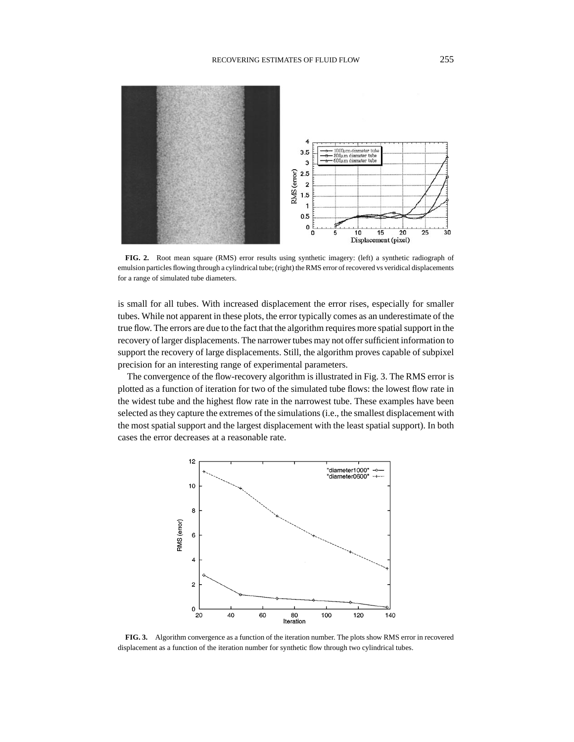

**FIG. 2.** Root mean square (RMS) error results using synthetic imagery: (left) a synthetic radiograph of emulsion particles flowing through a cylindrical tube; (right) the RMS error of recovered vs veridical displacements for a range of simulated tube diameters.

is small for all tubes. With increased displacement the error rises, especially for smaller tubes. While not apparent in these plots, the error typically comes as an underestimate of the true flow. The errors are due to the fact that the algorithm requires more spatial support in the recovery of larger displacements. The narrower tubes may not offer sufficient information to support the recovery of large displacements. Still, the algorithm proves capable of subpixel precision for an interesting range of experimental parameters.

The convergence of the flow-recovery algorithm is illustrated in Fig. 3. The RMS error is plotted as a function of iteration for two of the simulated tube flows: the lowest flow rate in the widest tube and the highest flow rate in the narrowest tube. These examples have been selected as they capture the extremes of the simulations (i.e., the smallest displacement with the most spatial support and the largest displacement with the least spatial support). In both cases the error decreases at a reasonable rate.



**FIG. 3.** Algorithm convergence as a function of the iteration number. The plots show RMS error in recovered displacement as a function of the iteration number for synthetic flow through two cylindrical tubes.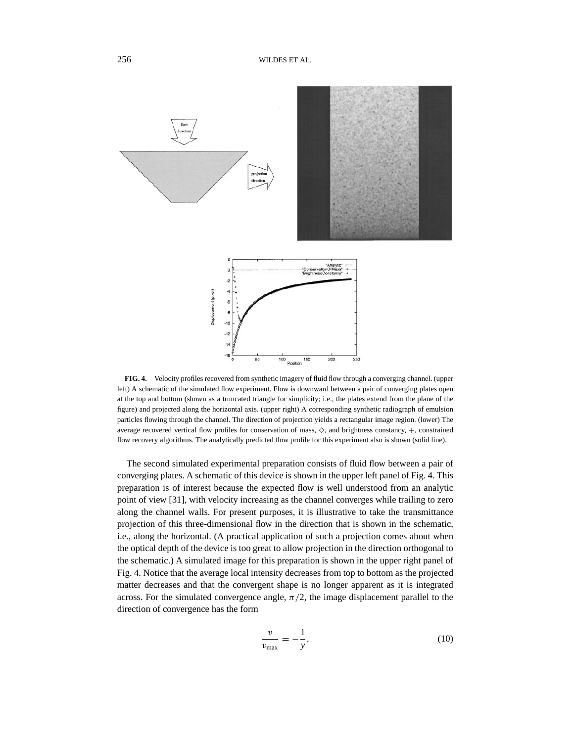

**FIG. 4.** Velocity profiles recovered from synthetic imagery of fluid flow through a converging channel. (upper left) A schematic of the simulated flow experiment. Flow is downward between a pair of converging plates open at the top and bottom (shown as a truncated triangle for simplicity; i.e., the plates extend from the plane of the figure) and projected along the horizontal axis. (upper right) A corresponding synthetic radiograph of emulsion particles flowing through the channel. The direction of projection yields a rectangular image region. (lower) The average recovered vertical flow profiles for conservation of mass,  $\diamond$ , and brightness constancy,  $+$ , constrained flow recovery algorithms. The analytically predicted flow profile for this experiment also is shown (solid line).

The second simulated experimental preparation consists of fluid flow between a pair of converging plates. A schematic of this device is shown in the upper left panel of Fig. 4. This preparation is of interest because the expected flow is well understood from an analytic point of view [31], with velocity increasing as the channel converges while trailing to zero along the channel walls. For present purposes, it is illustrative to take the transmittance projection of this three-dimensional flow in the direction that is shown in the schematic, i.e., along the horizontal. (A practical application of such a projection comes about when the optical depth of the device is too great to allow projection in the direction orthogonal to the schematic.) A simulated image for this preparation is shown in the upper right panel of Fig. 4. Notice that the average local intensity decreases from top to bottom as the projected matter decreases and that the convergent shape is no longer apparent as it is integrated across. For the simulated convergence angle,  $\pi/2$ , the image displacement parallel to the direction of convergence has the form

$$
\frac{v}{v_{\text{max}}} = -\frac{1}{y},\tag{10}
$$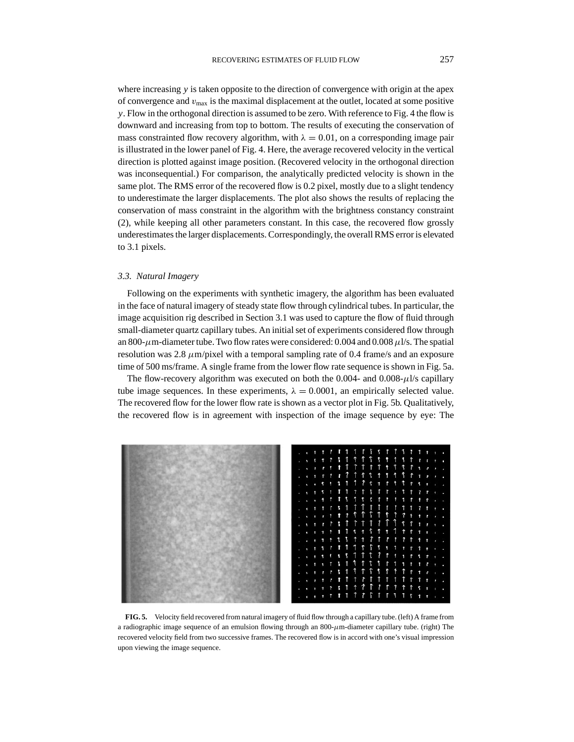where increasing *y* is taken opposite to the direction of convergence with origin at the apex of convergence and  $v_{\text{max}}$  is the maximal displacement at the outlet, located at some positive *y*. Flow in the orthogonal direction is assumed to be zero. With reference to Fig. 4 the flow is downward and increasing from top to bottom. The results of executing the conservation of mass constrainted flow recovery algorithm, with  $\lambda = 0.01$ , on a corresponding image pair is illustrated in the lower panel of Fig. 4. Here, the average recovered velocity in the vertical direction is plotted against image position. (Recovered velocity in the orthogonal direction was inconsequential.) For comparison, the analytically predicted velocity is shown in the same plot. The RMS error of the recovered flow is 0.2 pixel, mostly due to a slight tendency to underestimate the larger displacements. The plot also shows the results of replacing the conservation of mass constraint in the algorithm with the brightness constancy constraint (2), while keeping all other parameters constant. In this case, the recovered flow grossly underestimates the larger displacements. Correspondingly, the overall RMS error is elevated to 3.1 pixels.

#### *3.3. Natural Imagery*

Following on the experiments with synthetic imagery, the algorithm has been evaluated in the face of natural imagery of steady state flow through cylindrical tubes. In particular, the image acquisition rig described in Section 3.1 was used to capture the flow of fluid through small-diameter quartz capillary tubes. An initial set of experiments considered flow through an 800- $\mu$ m-diameter tube. Two flow rates were considered: 0.004 and 0.008  $\mu$ l/s. The spatial resolution was 2.8  $\mu$ m/pixel with a temporal sampling rate of 0.4 frame/s and an exposure time of 500 ms/frame. A single frame from the lower flow rate sequence is shown in Fig. 5a.

The flow-recovery algorithm was executed on both the  $0.004$ - and  $0.008 - \mu$ l/s capillary tube image sequences. In these experiments,  $\lambda = 0.0001$ , an empirically selected value. The recovered flow for the lower flow rate is shown as a vector plot in Fig. 5b. Qualitatively, the recovered flow is in agreement with inspection of the image sequence by eye: The



**FIG. 5.** Velocity field recovered from natural imagery of fluid flow through a capillary tube. (left) A frame from a radiographic image sequence of an emulsion flowing through an  $800-\mu$ m-diameter capillary tube. (right) The recovered velocity field from two successive frames. The recovered flow is in accord with one's visual impression upon viewing the image sequence.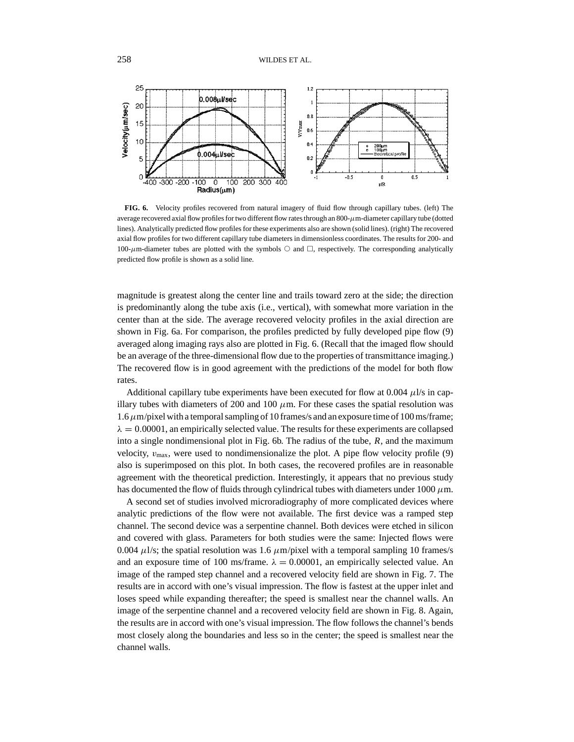

**FIG. 6.** Velocity profiles recovered from natural imagery of fluid flow through capillary tubes. (left) The average recovered axial flow profiles for two different flow rates through an 800- $\mu$ m-diameter capillary tube (dotted lines). Analytically predicted flow profiles for these experiments also are shown (solid lines). (right) The recovered axial flow profiles for two different capillary tube diameters in dimensionless coordinates. The results for 200- and 100- $\mu$ m-diameter tubes are plotted with the symbols  $\circ$  and  $\Box$ , respectively. The corresponding analytically predicted flow profile is shown as a solid line.

magnitude is greatest along the center line and trails toward zero at the side; the direction is predominantly along the tube axis (i.e., vertical), with somewhat more variation in the center than at the side. The average recovered velocity profiles in the axial direction are shown in Fig. 6a. For comparison, the profiles predicted by fully developed pipe flow (9) averaged along imaging rays also are plotted in Fig. 6. (Recall that the imaged flow should be an average of the three-dimensional flow due to the properties of transmittance imaging.) The recovered flow is in good agreement with the predictions of the model for both flow rates.

Additional capillary tube experiments have been executed for flow at 0.004  $\mu$ l/s in capillary tubes with diameters of 200 and 100  $\mu$ m. For these cases the spatial resolution was  $1.6 \,\mu$  m/pixel with a temporal sampling of 10 frames/s and an exposure time of 100 ms/frame;  $\lambda = 0.00001$ , an empirically selected value. The results for these experiments are collapsed into a single nondimensional plot in Fig. 6b. The radius of the tube, *R*, and the maximum velocity,  $v_{\text{max}}$ , were used to nondimensionalize the plot. A pipe flow velocity profile (9) also is superimposed on this plot. In both cases, the recovered profiles are in reasonable agreement with the theoretical prediction. Interestingly, it appears that no previous study has documented the flow of fluids through cylindrical tubes with diameters under 1000  $\mu$ m.

A second set of studies involved microradiography of more complicated devices where analytic predictions of the flow were not available. The first device was a ramped step channel. The second device was a serpentine channel. Both devices were etched in silicon and covered with glass. Parameters for both studies were the same: Injected flows were 0.004  $\mu$ 1/s; the spatial resolution was 1.6  $\mu$ m/pixel with a temporal sampling 10 frames/s and an exposure time of 100 ms/frame.  $\lambda = 0.00001$ , an empirically selected value. An image of the ramped step channel and a recovered velocity field are shown in Fig. 7. The results are in accord with one's visual impression. The flow is fastest at the upper inlet and loses speed while expanding thereafter; the speed is smallest near the channel walls. An image of the serpentine channel and a recovered velocity field are shown in Fig. 8. Again, the results are in accord with one's visual impression. The flow follows the channel's bends most closely along the boundaries and less so in the center; the speed is smallest near the channel walls.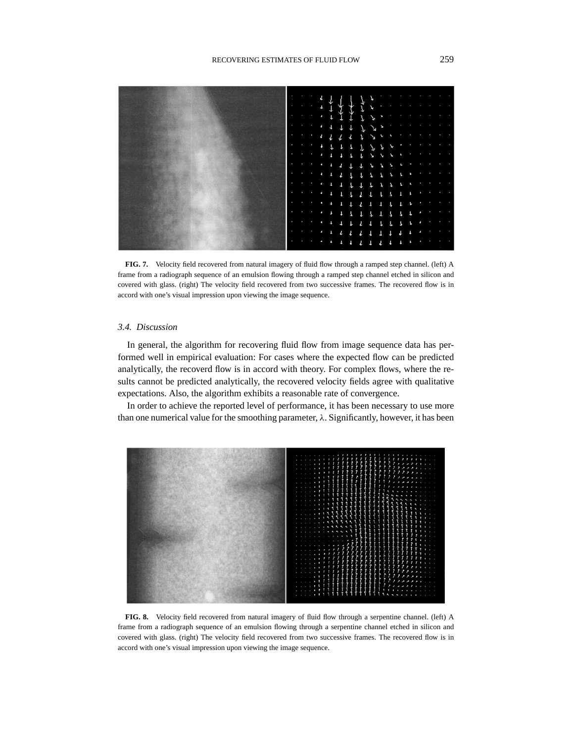

**FIG. 7.** Velocity field recovered from natural imagery of fluid flow through a ramped step channel. (left) A frame from a radiograph sequence of an emulsion flowing through a ramped step channel etched in silicon and covered with glass. (right) The velocity field recovered from two successive frames. The recovered flow is in accord with one's visual impression upon viewing the image sequence.

### *3.4. Discussion*

In general, the algorithm for recovering fluid flow from image sequence data has performed well in empirical evaluation: For cases where the expected flow can be predicted analytically, the recoverd flow is in accord with theory. For complex flows, where the results cannot be predicted analytically, the recovered velocity fields agree with qualitative expectations. Also, the algorithm exhibits a reasonable rate of convergence.

In order to achieve the reported level of performance, it has been necessary to use more than one numerical value for the smoothing parameter,  $\lambda$ . Significantly, however, it has been



**FIG. 8.** Velocity field recovered from natural imagery of fluid flow through a serpentine channel. (left) A frame from a radiograph sequence of an emulsion flowing through a serpentine channel etched in silicon and covered with glass. (right) The velocity field recovered from two successive frames. The recovered flow is in accord with one's visual impression upon viewing the image sequence.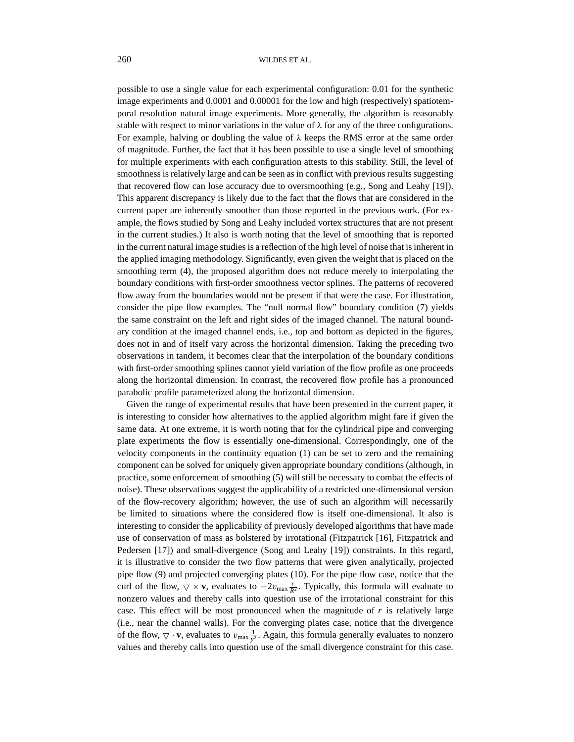possible to use a single value for each experimental configuration: 0.01 for the synthetic image experiments and 0.0001 and 0.00001 for the low and high (respectively) spatiotemporal resolution natural image experiments. More generally, the algorithm is reasonably stable with respect to minor variations in the value of  $\lambda$  for any of the three configurations. For example, halving or doubling the value of  $\lambda$  keeps the RMS error at the same order of magnitude. Further, the fact that it has been possible to use a single level of smoothing for multiple experiments with each configuration attests to this stability. Still, the level of smoothness is relatively large and can be seen as in conflict with previous results suggesting that recovered flow can lose accuracy due to oversmoothing (e.g., Song and Leahy [19]). This apparent discrepancy is likely due to the fact that the flows that are considered in the current paper are inherently smoother than those reported in the previous work. (For example, the flows studied by Song and Leahy included vortex structures that are not present in the current studies.) It also is worth noting that the level of smoothing that is reported in the current natural image studies is a reflection of the high level of noise that is inherent in the applied imaging methodology. Significantly, even given the weight that is placed on the smoothing term (4), the proposed algorithm does not reduce merely to interpolating the boundary conditions with first-order smoothness vector splines. The patterns of recovered flow away from the boundaries would not be present if that were the case. For illustration, consider the pipe flow examples. The "null normal flow" boundary condition (7) yields the same constraint on the left and right sides of the imaged channel. The natural boundary condition at the imaged channel ends, i.e., top and bottom as depicted in the figures, does not in and of itself vary across the horizontal dimension. Taking the preceding two observations in tandem, it becomes clear that the interpolation of the boundary conditions with first-order smoothing splines cannot yield variation of the flow profile as one proceeds along the horizontal dimension. In contrast, the recovered flow profile has a pronounced parabolic profile parameterized along the horizontal dimension.

Given the range of experimental results that have been presented in the current paper, it is interesting to consider how alternatives to the applied algorithm might fare if given the same data. At one extreme, it is worth noting that for the cylindrical pipe and converging plate experiments the flow is essentially one-dimensional. Correspondingly, one of the velocity components in the continuity equation (1) can be set to zero and the remaining component can be solved for uniquely given appropriate boundary conditions (although, in practice, some enforcement of smoothing (5) will still be necessary to combat the effects of noise). These observations suggest the applicability of a restricted one-dimensional version of the flow-recovery algorithm; however, the use of such an algorithm will necessarily be limited to situations where the considered flow is itself one-dimensional. It also is interesting to consider the applicability of previously developed algorithms that have made use of conservation of mass as bolstered by irrotational (Fitzpatrick [16], Fitzpatrick and Pedersen [17]) and small-divergence (Song and Leahy [19]) constraints. In this regard, it is illustrative to consider the two flow patterns that were given analytically, projected pipe flow (9) and projected converging plates (10). For the pipe flow case, notice that the curl of the flow,  $\triangledown \times \mathbf{v}$ , evaluates to  $-2v_{\text{max}} \frac{r}{R^2}$ . Typically, this formula will evaluate to nonzero values and thereby calls into question use of the irrotational constraint for this case. This effect will be most pronounced when the magnitude of  $r$  is relatively large (i.e., near the channel walls). For the converging plates case, notice that the divergence of the flow,  $\nabla \cdot \mathbf{v}$ , evaluates to  $v_{\text{max}} \frac{1}{y^2}$ . Again, this formula generally evaluates to nonzero values and thereby calls into question use of the small divergence constraint for this case.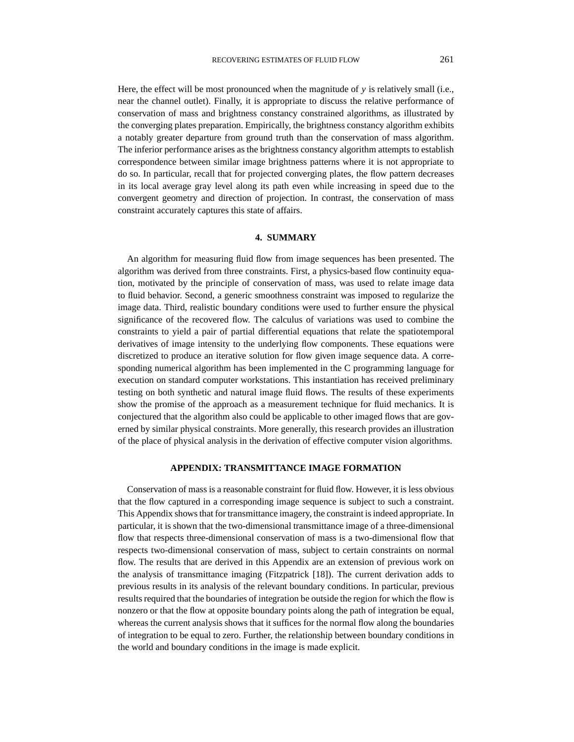Here, the effect will be most pronounced when the magnitude of  $y$  is relatively small (i.e., near the channel outlet). Finally, it is appropriate to discuss the relative performance of conservation of mass and brightness constancy constrained algorithms, as illustrated by the converging plates preparation. Empirically, the brightness constancy algorithm exhibits a notably greater departure from ground truth than the conservation of mass algorithm. The inferior performance arises as the brightness constancy algorithm attempts to establish correspondence between similar image brightness patterns where it is not appropriate to do so. In particular, recall that for projected converging plates, the flow pattern decreases in its local average gray level along its path even while increasing in speed due to the convergent geometry and direction of projection. In contrast, the conservation of mass constraint accurately captures this state of affairs.

## **4. SUMMARY**

An algorithm for measuring fluid flow from image sequences has been presented. The algorithm was derived from three constraints. First, a physics-based flow continuity equation, motivated by the principle of conservation of mass, was used to relate image data to fluid behavior. Second, a generic smoothness constraint was imposed to regularize the image data. Third, realistic boundary conditions were used to further ensure the physical significance of the recovered flow. The calculus of variations was used to combine the constraints to yield a pair of partial differential equations that relate the spatiotemporal derivatives of image intensity to the underlying flow components. These equations were discretized to produce an iterative solution for flow given image sequence data. A corresponding numerical algorithm has been implemented in the C programming language for execution on standard computer workstations. This instantiation has received preliminary testing on both synthetic and natural image fluid flows. The results of these experiments show the promise of the approach as a measurement technique for fluid mechanics. It is conjectured that the algorithm also could be applicable to other imaged flows that are governed by similar physical constraints. More generally, this research provides an illustration of the place of physical analysis in the derivation of effective computer vision algorithms.

### **APPENDIX: TRANSMITTANCE IMAGE FORMATION**

Conservation of mass is a reasonable constraint for fluid flow. However, it is less obvious that the flow captured in a corresponding image sequence is subject to such a constraint. This Appendix shows that for transmittance imagery, the constraint is indeed appropriate. In particular, it is shown that the two-dimensional transmittance image of a three-dimensional flow that respects three-dimensional conservation of mass is a two-dimensional flow that respects two-dimensional conservation of mass, subject to certain constraints on normal flow. The results that are derived in this Appendix are an extension of previous work on the analysis of transmittance imaging (Fitzpatrick [18]). The current derivation adds to previous results in its analysis of the relevant boundary conditions. In particular, previous results required that the boundaries of integration be outside the region for which the flow is nonzero or that the flow at opposite boundary points along the path of integration be equal, whereas the current analysis shows that it suffices for the normal flow along the boundaries of integration to be equal to zero. Further, the relationship between boundary conditions in the world and boundary conditions in the image is made explicit.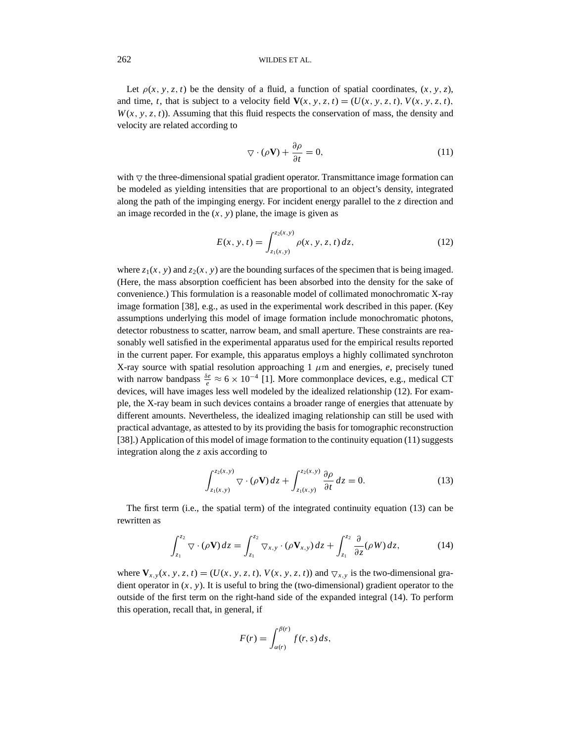Let  $\rho(x, y, z, t)$  be the density of a fluid, a function of spatial coordinates,  $(x, y, z)$ , and time, *t*, that is subject to a velocity field  $V(x, y, z, t) = (U(x, y, z, t), V(x, y, z, t))$  $W(x, y, z, t)$ ). Assuming that this fluid respects the conservation of mass, the density and velocity are related according to

$$
\nabla \cdot (\rho \mathbf{V}) + \frac{\partial \rho}{\partial t} = 0, \tag{11}
$$

with  $\triangledown$  the three-dimensional spatial gradient operator. Transmittance image formation can be modeled as yielding intensities that are proportional to an object's density, integrated along the path of the impinging energy. For incident energy parallel to the *z* direction and an image recorded in the  $(x, y)$  plane, the image is given as

$$
E(x, y, t) = \int_{z_1(x, y)}^{z_2(x, y)} \rho(x, y, z, t) dz,
$$
 (12)

where  $z_1(x, y)$  and  $z_2(x, y)$  are the bounding surfaces of the specimen that is being imaged. (Here, the mass absorption coefficient has been absorbed into the density for the sake of convenience.) This formulation is a reasonable model of collimated monochromatic X-ray image formation [38], e.g., as used in the experimental work described in this paper. (Key assumptions underlying this model of image formation include monochromatic photons, detector robustness to scatter, narrow beam, and small aperture. These constraints are reasonably well satisfied in the experimental apparatus used for the empirical results reported in the current paper. For example, this apparatus employs a highly collimated synchroton X-ray source with spatial resolution approaching  $1 \mu m$  and energies,  $e$ , precisely tuned with narrow bandpass  $\frac{\delta e}{e} \approx 6 \times 10^{-4}$  [1]. More commonplace devices, e.g., medical CT devices, will have images less well modeled by the idealized relationship (12). For example, the X-ray beam in such devices contains a broader range of energies that attenuate by different amounts. Nevertheless, the idealized imaging relationship can still be used with practical advantage, as attested to by its providing the basis for tomographic reconstruction [38].) Application of this model of image formation to the continuity equation (11) suggests integration along the *z* axis according to

$$
\int_{z_1(x,y)}^{z_2(x,y)} \nabla \cdot (\rho \mathbf{V}) dz + \int_{z_1(x,y)}^{z_2(x,y)} \frac{\partial \rho}{\partial t} dz = 0.
$$
 (13)

The first term (i.e., the spatial term) of the integrated continuity equation (13) can be rewritten as

$$
\int_{z_1}^{z_2} \nabla \cdot (\rho \mathbf{V}) dz = \int_{z_1}^{z_2} \nabla_{x,y} \cdot (\rho \mathbf{V}_{x,y}) dz + \int_{z_1}^{z_2} \frac{\partial}{\partial z} (\rho W) dz, \tag{14}
$$

where  $\mathbf{V}_{x,y}(x, y, z, t) = (U(x, y, z, t), V(x, y, z, t))$  and  $\nabla_{x,y}$  is the two-dimensional gradient operator in  $(x, y)$ . It is useful to bring the (two-dimensional) gradient operator to the outside of the first term on the right-hand side of the expanded integral (14). To perform this operation, recall that, in general, if

$$
F(r) = \int_{\alpha(r)}^{\beta(r)} f(r, s) \, ds,
$$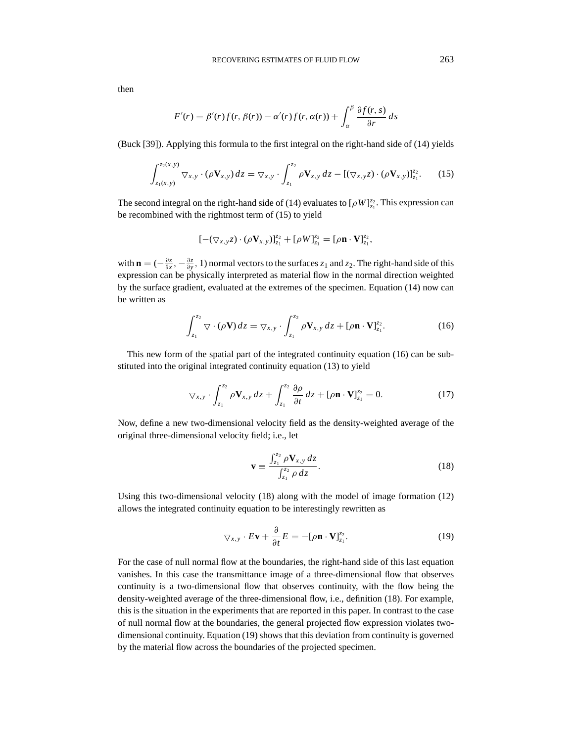then

$$
F'(r) = \beta'(r)f(r, \beta(r)) - \alpha'(r)f(r, \alpha(r)) + \int_{\alpha}^{\beta} \frac{\partial f(r, s)}{\partial r} ds
$$

(Buck [39]). Applying this formula to the first integral on the right-hand side of (14) yields

$$
\int_{z_1(x,y)}^{z_2(x,y)} \nabla_{x,y} \cdot (\rho \mathbf{V}_{x,y}) dz = \nabla_{x,y} \cdot \int_{z_1}^{z_2} \rho \mathbf{V}_{x,y} dz - [(\nabla_{x,y} z) \cdot (\rho \mathbf{V}_{x,y})]_{z_1}^{z_2}.
$$
 (15)

The second integral on the right-hand side of (14) evaluates to  $\left[ \rho W \right]_{z_1}^{z_2}$ . This expression can be recombined with the rightmost term of (15) to yield

$$
[-(\nabla_{x,y}z)\cdot(\rho\mathbf{V}_{x,y})]_{z_1}^{z_2} + [\rho W]_{z_1}^{z_2} = [\rho \mathbf{n}\cdot \mathbf{V}]_{z_1}^{z_2},
$$

with  $\mathbf{n} = (-\frac{\partial z}{\partial x}, -\frac{\partial z}{\partial y}, 1)$  normal vectors to the surfaces  $z_1$  and  $z_2$ . The right-hand side of this expression can be physically interpreted as material flow in the normal direction weighted by the surface gradient, evaluated at the extremes of the specimen. Equation (14) now can be written as

$$
\int_{z_1}^{z_2} \nabla \cdot (\rho \mathbf{V}) dz = \nabla_{x,y} \cdot \int_{z_1}^{z_2} \rho \mathbf{V}_{x,y} dz + [\rho \mathbf{n} \cdot \mathbf{V}]_{z_1}^{z_2}.
$$
 (16)

This new form of the spatial part of the integrated continuity equation (16) can be substituted into the original integrated continuity equation (13) to yield

$$
\nabla_{x,y} \cdot \int_{z_1}^{z_2} \rho \mathbf{V}_{x,y} \, dz + \int_{z_1}^{z_2} \frac{\partial \rho}{\partial t} \, dz + [\rho \mathbf{n} \cdot \mathbf{V}]_{z_1}^{z_2} = 0. \tag{17}
$$

Now, define a new two-dimensional velocity field as the density-weighted average of the original three-dimensional velocity field; i.e., let

$$
\mathbf{v} \equiv \frac{\int_{z_1}^{z_2} \rho \mathbf{V}_{x,y} dz}{\int_{z_1}^{z_2} \rho dz}.
$$
 (18)

Using this two-dimensional velocity (18) along with the model of image formation (12) allows the integrated continuity equation to be interestingly rewritten as

$$
\nabla_{x,y} \cdot E\mathbf{v} + \frac{\partial}{\partial t} E = -[\rho \mathbf{n} \cdot \mathbf{V}]_{z_1}^{z_2}.
$$
 (19)

For the case of null normal flow at the boundaries, the right-hand side of this last equation vanishes. In this case the transmittance image of a three-dimensional flow that observes continuity is a two-dimensional flow that observes continuity, with the flow being the density-weighted average of the three-dimensional flow, i.e., definition (18). For example, this is the situation in the experiments that are reported in this paper. In contrast to the case of null normal flow at the boundaries, the general projected flow expression violates twodimensional continuity. Equation (19) shows that this deviation from continuity is governed by the material flow across the boundaries of the projected specimen.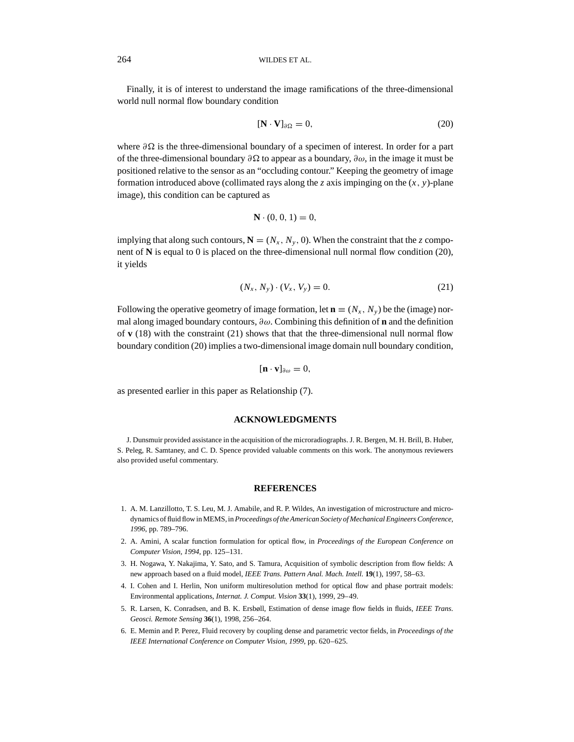Finally, it is of interest to understand the image ramifications of the three-dimensional world null normal flow boundary condition

$$
[\mathbf{N} \cdot \mathbf{V}]_{\partial \Omega} = 0,\tag{20}
$$

where  $\partial\Omega$  is the three-dimensional boundary of a specimen of interest. In order for a part of the three-dimensional boundary  $\partial\Omega$  to appear as a boundary,  $\partial\omega$ , in the image it must be positioned relative to the sensor as an "occluding contour." Keeping the geometry of image formation introduced above (collimated rays along the *z* axis impinging on the  $(x, y)$ -plane image), this condition can be captured as

$$
\mathbf{N} \cdot (0,0,1) = 0,
$$

implying that along such contours,  $N = (N_x, N_y, 0)$ . When the constraint that the *z* component of **N** is equal to 0 is placed on the three-dimensional null normal flow condition (20), it yields

$$
(N_x, N_y) \cdot (V_x, V_y) = 0. \tag{21}
$$

Following the operative geometry of image formation, let  $\mathbf{n} \equiv (N_x, N_y)$  be the (image) normal along imaged boundary contours, ∂ω. Combining this definition of **n** and the definition of  $\bf{v}$  (18) with the constraint (21) shows that that the three-dimensional null normal flow boundary condition (20) implies a two-dimensional image domain null boundary condition,

$$
[\mathbf{n}\cdot\mathbf{v}]_{\partial\omega}=0,
$$

as presented earlier in this paper as Relationship (7).

#### **ACKNOWLEDGMENTS**

J. Dunsmuir provided assistance in the acquisition of the microradiographs. J. R. Bergen, M. H. Brill, B. Huber, S. Peleg, R. Samtaney, and C. D. Spence provided valuable comments on this work. The anonymous reviewers also provided useful commentary.

#### **REFERENCES**

- 1. A. M. Lanzillotto, T. S. Leu, M. J. Amabile, and R. P. Wildes, An investigation of microstructure and microdynamics of fluid flow in MEMS, in*Proceedings of the American Society of Mechanical Engineers Conference, 1996*, pp. 789–796.
- 2. A. Amini, A scalar function formulation for optical flow, in *Proceedings of the European Conference on Computer Vision, 1994*, pp. 125–131.
- 3. H. Nogawa, Y. Nakajima, Y. Sato, and S. Tamura, Acquisition of symbolic description from flow fields: A new approach based on a fluid model, *IEEE Trans. Pattern Anal. Mach. Intell.* **19**(1), 1997, 58–63.
- 4. I. Cohen and I. Herlin, Non uniform multiresolution method for optical flow and phase portrait models: Environmental applications, *Internat. J. Comput. Vision* **33**(1), 1999, 29–49.
- 5. R. Larsen, K. Conradsen, and B. K. Ersbøll, Estimation of dense image flow fields in fluids, *IEEE Trans. Geosci. Remote Sensing* **36**(1), 1998, 256–264.
- 6. E. Memin and P. Perez, Fluid recovery by coupling dense and parametric vector fields, in *Proceedings of the IEEE International Conference on Computer Vision, 1999*, pp. 620–625.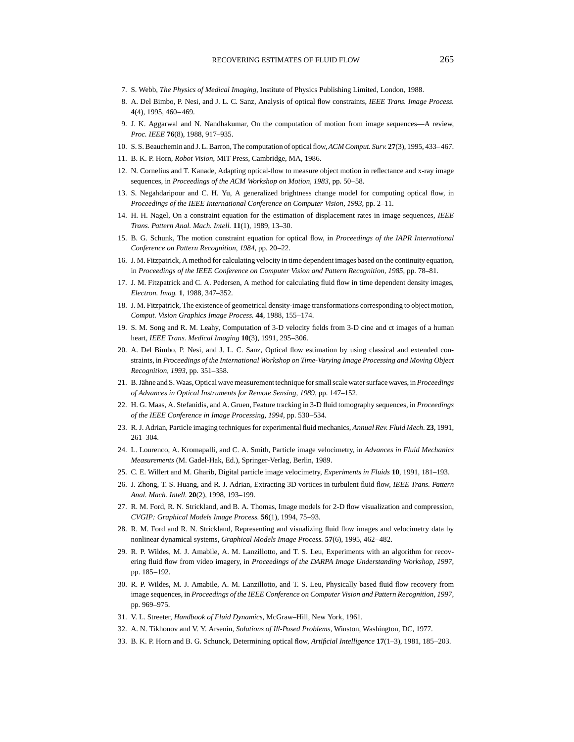- 7. S. Webb, *The Physics of Medical Imaging*, Institute of Physics Publishing Limited, London, 1988.
- 8. A. Del Bimbo, P. Nesi, and J. L. C. Sanz, Analysis of optical flow constraints, *IEEE Trans. Image Process.* **4**(4), 1995, 460–469.
- 9. J. K. Aggarwal and N. Nandhakumar, On the computation of motion from image sequences—A review, *Proc. IEEE* **76**(8), 1988, 917–935.
- 10. S. S. Beauchemin and J. L. Barron, The computation of optical flow,*ACM Comput. Surv.* **27**(3), 1995, 433–467.
- 11. B. K. P. Horn, *Robot Vision*, MIT Press, Cambridge, MA, 1986.
- 12. N. Cornelius and T. Kanade, Adapting optical-flow to measure object motion in reflectance and x-ray image sequences, in *Proceedings of the ACM Workshop on Motion, 1983*, pp. 50–58.
- 13. S. Negahdaripour and C. H. Yu, A generalized brightness change model for computing optical flow, in *Proceedings of the IEEE International Conference on Computer Vision, 1993*, pp. 2–11.
- 14. H. H. Nagel, On a constraint equation for the estimation of displacement rates in image sequences, *IEEE Trans. Pattern Anal. Mach. Intell.* **11**(1), 1989, 13–30.
- 15. B. G. Schunk, The motion constraint equation for optical flow, in *Proceedings of the IAPR International Conference on Pattern Recognition, 1984*, pp. 20–22.
- 16. J. M. Fitzpatrick, A method for calculating velocity in time dependent images based on the continuity equation, in *Proceedings of the IEEE Conference on Computer Vision and Pattern Recognition, 1985*, pp. 78–81.
- 17. J. M. Fitzpatrick and C. A. Pedersen, A method for calculating fluid flow in time dependent density images, *Electron. Imag.* **1**, 1988, 347–352.
- 18. J. M. Fitzpatrick, The existence of geometrical density-image transformations corresponding to object motion, *Comput. Vision Graphics Image Process.* **44**, 1988, 155–174.
- 19. S. M. Song and R. M. Leahy, Computation of 3-D velocity fields from 3-D cine and ct images of a human heart, *IEEE Trans. Medical Imaging* **10**(3), 1991, 295–306.
- 20. A. Del Bimbo, P. Nesi, and J. L. C. Sanz, Optical flow estimation by using classical and extended constraints, in *Proceedings of the International Workshop on Time-Varying Image Processing and Moving Object Recognition, 1993*, pp. 351–358.
- 21. B. Jähne and S. Waas, Optical wave measurement technique for small scale water surface waves, in Proceedings *of Advances in Optical Instruments for Remote Sensing, 1989*, pp. 147–152.
- 22. H. G. Maas, A. Stefanidis, and A. Gruen, Feature tracking in 3-D fluid tomography sequences, in *Proceedings of the IEEE Conference in Image Processing, 1994*, pp. 530–534.
- 23. R. J. Adrian, Particle imaging techniques for experimental fluid mechanics, *Annual Rev. Fluid Mech.* **23**, 1991, 261–304.
- 24. L. Lourenco, A. Kromapalli, and C. A. Smith, Particle image velocimetry, in *Advances in Fluid Mechanics Measurements* (M. Gadel-Hak, Ed.), Springer-Verlag, Berlin, 1989.
- 25. C. E. Willert and M. Gharib, Digital particle image velocimetry, *Experiments in Fluids* **10**, 1991, 181–193.
- 26. J. Zhong, T. S. Huang, and R. J. Adrian, Extracting 3D vortices in turbulent fluid flow, *IEEE Trans. Pattern Anal. Mach. Intell.* **20**(2), 1998, 193–199.
- 27. R. M. Ford, R. N. Strickland, and B. A. Thomas, Image models for 2-D flow visualization and compression, *CVGIP: Graphical Models Image Process.* **56**(1), 1994, 75–93.
- 28. R. M. Ford and R. N. Strickland, Representing and visualizing fluid flow images and velocimetry data by nonlinear dynamical systems, *Graphical Models Image Process.* **57**(6), 1995, 462–482.
- 29. R. P. Wildes, M. J. Amabile, A. M. Lanzillotto, and T. S. Leu, Experiments with an algorithm for recovering fluid flow from video imagery, in *Proceedings of the DARPA Image Understanding Workshop, 1997*, pp. 185–192.
- 30. R. P. Wildes, M. J. Amabile, A. M. Lanzillotto, and T. S. Leu, Physically based fluid flow recovery from image sequences, in *Proceedings of the IEEE Conference on Computer Vision and Pattern Recognition, 1997*, pp. 969–975.
- 31. V. L. Streeter, *Handbook of Fluid Dynamics*, McGraw–Hill, New York, 1961.
- 32. A. N. Tikhonov and V. Y. Arsenin, *Solutions of Ill-Posed Problems*, Winston, Washington, DC, 1977.
- 33. B. K. P. Horn and B. G. Schunck, Determining optical flow, *Artificial Intelligence* **17**(1–3), 1981, 185–203.